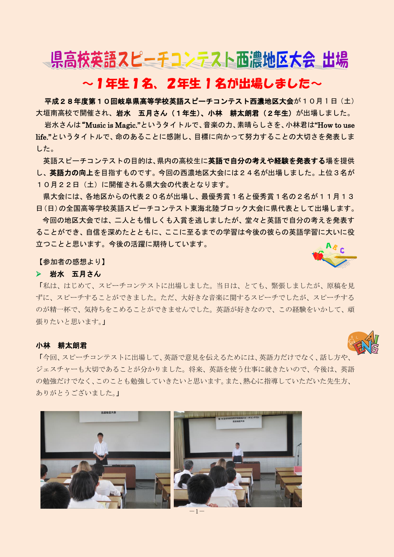# 県高校英語スピーチコンテスト西濃地区大会 出場

## ~1年生1名、2年生 1 名が出場しました~

平成28年度第10回岐阜県高等学校英語スピーチコンテスト西濃地区大会が10月1日 (土) 大垣南高校で開催され、岩水 五月さん(1年生)、小林 耕太朗君(2年生)が出場しました。

岩水さんは"Music is Magic."というタイトルで、音楽の力、素晴らしさを、小林君は"How to use life."というタイトルで、命のあることに感謝し、目標に向かって努力することの大切さを発表しま した。

英語スピーチコンテストの目的は、県内の高校生に英語で自分の考えや経験を発表する場を提供 し、英語力の向上を目指すものです。今回の西濃地区大会には24名が出場しました。上位3名が 10月22日(土)に開催される県大会の代表となります。

県大会には、各地区からの代表20名が出場し、最優秀賞1名と優秀賞1名の2名が11月13 日(日)の全国高等学校英語スピーチコンテスト東海北陸ブロック大会に県代表として出場します。 今回の地区大会では、二人とも惜しくも入賞を逃しましたが、堂々と英語で自分の考えを発表す

ることができ、自信を深めたとともに、ここに至るまでの学習は今後の彼らの英語学習に大いに役 立つことと思います。今後の活躍に期待しています。

【参加者の感想より】

#### ▶ 岩水 五月さん

「私は、はじめて、スピーチコンテストに出場しました。当日は、とても、緊張しましたが、原稿を見 ずに、スピーチすることができました。ただ、大好きな音楽に関するスピーチでしたが、スピーチする のが精一杯で、気持ちをこめることができませんでした。英語が好きなので、この経験をいかして、頑 張りたいと思います。」

#### 小林 耕太朗君

「今回、スピーチコンテストに出場して、英語で意見を伝えるためには、英語力だけでなく、話し方や、 ジェスチャーも大切であることが分かりました。将来、英語を使う仕事に就きたいので、今後は、英語 の勉強だけでなく、このことも勉強していきたいと思います。また、熱心に指導していただいた先生方、 ありがとうございました。」



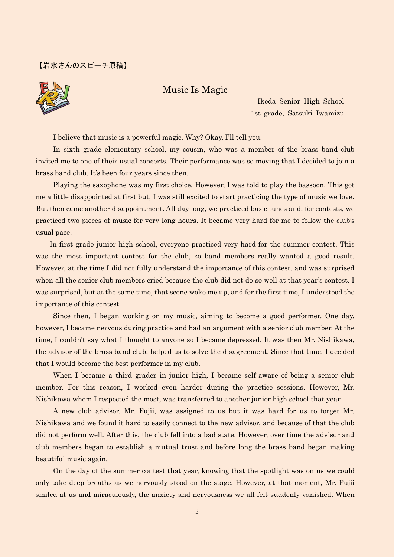#### 【岩水さんのスピーチ原稿】



Ikeda Senior High School 1st grade, Satsuki Iwamizu

I believe that music is a powerful magic. Why? Okay, I'll tell you.

 In sixth grade elementary school, my cousin, who was a member of the brass band club invited me to one of their usual concerts. Their performance was so moving that I decided to join a brass band club. It's been four years since then.

 Playing the saxophone was my first choice. However, I was told to play the bassoon. This got me a little disappointed at first but, I was still excited to start practicing the type of music we love. But then came another disappointment. All day long, we practiced basic tunes and, for contests, we practiced two pieces of music for very long hours. It became very hard for me to follow the club's usual pace.

 In first grade junior high school, everyone practiced very hard for the summer contest. This was the most important contest for the club, so band members really wanted a good result. However, at the time I did not fully understand the importance of this contest, and was surprised when all the senior club members cried because the club did not do so well at that year's contest. I was surprised, but at the same time, that scene woke me up, and for the first time, I understood the importance of this contest.

 Since then, I began working on my music, aiming to become a good performer. One day, however, I became nervous during practice and had an argument with a senior club member. At the time, I couldn't say what I thought to anyone so I became depressed. It was then Mr. Nishikawa, the advisor of the brass band club, helped us to solve the disagreement. Since that time, I decided that I would become the best performer in my club.

When I became a third grader in junior high, I became self-aware of being a senior club member. For this reason, I worked even harder during the practice sessions. However, Mr. Nishikawa whom I respected the most, was transferred to another junior high school that year.

 A new club advisor, Mr. Fujii, was assigned to us but it was hard for us to forget Mr. Nishikawa and we found it hard to easily connect to the new advisor, and because of that the club did not perform well. After this, the club fell into a bad state. However, over time the advisor and club members began to establish a mutual trust and before long the brass band began making beautiful music again.

On the day of the summer contest that year, knowing that the spotlight was on us we could only take deep breaths as we nervously stood on the stage. However, at that moment, Mr. Fujii smiled at us and miraculously, the anxiety and nervousness we all felt suddenly vanished. When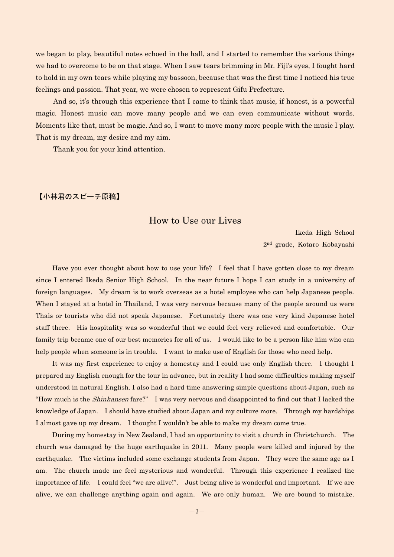we began to play, beautiful notes echoed in the hall, and I started to remember the various things we had to overcome to be on that stage. When I saw tears brimming in Mr. Fiji's eyes, I fought hard to hold in my own tears while playing my bassoon, because that was the first time I noticed his true feelings and passion. That year, we were chosen to represent Gifu Prefecture.

And so, it's through this experience that I came to think that music, if honest, is a powerful magic. Honest music can move many people and we can even communicate without words. Moments like that, must be magic. And so, I want to move many more people with the music I play. That is my dream, my desire and my aim.

Thank you for your kind attention.

#### 【小林君のスピーチ原稿】

### How to Use our Lives

Ikeda High School 2nd grade, Kotaro Kobayashi

Have you ever thought about how to use your life? I feel that I have gotten close to my dream since I entered Ikeda Senior High School. In the near future I hope I can study in a university of foreign languages. My dream is to work overseas as a hotel employee who can help Japanese people. When I stayed at a hotel in Thailand, I was very nervous because many of the people around us were Thais or tourists who did not speak Japanese. Fortunately there was one very kind Japanese hotel staff there. His hospitality was so wonderful that we could feel very relieved and comfortable. Our family trip became one of our best memories for all of us. I would like to be a person like him who can help people when someone is in trouble. I want to make use of English for those who need help.

It was my first experience to enjoy a homestay and I could use only English there. I thought I prepared my English enough for the tour in advance, but in reality I had some difficulties making myself understood in natural English. I also had a hard time answering simple questions about Japan, such as "How much is the *Shinkansen* fare?" I was very nervous and disappointed to find out that I lacked the knowledge of Japan. I should have studied about Japan and my culture more. Through my hardships I almost gave up my dream. I thought I wouldn't be able to make my dream come true.

During my homestay in New Zealand, I had an opportunity to visit a church in Christchurch. The church was damaged by the huge earthquake in 2011. Many people were killed and injured by the earthquake. The victims included some exchange students from Japan. They were the same age as I am. The church made me feel mysterious and wonderful. Through this experience I realized the importance of life. I could feel "we are alive!". Just being alive is wonderful and important. If we are alive, we can challenge anything again and again. We are only human. We are bound to mistake.